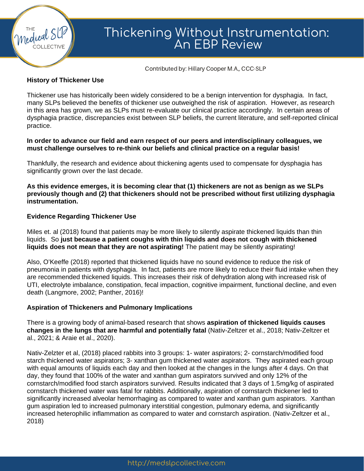

# Thickening Without Instrumentation: An EBP Review

Contributed by: Hillary Cooper M.A., CCC-SLP

## **History of Thickener Use**

Thickener use has historically been widely considered to be a benign intervention for dysphagia. In fact, many SLPs believed the benefits of thickener use outweighed the risk of aspiration. However, as research in this area has grown, we as SLPs must re-evaluate our clinical practice accordingly. In certain areas of dysphagia practice, discrepancies exist between SLP beliefs, the current literature, and self-reported clinical practice.

## **In order to advance our field and earn respect of our peers and interdisciplinary colleagues, we must challenge ourselves to re-think our beliefs and clinical practice on a regular basis!**

Thankfully, the research and evidence about thickening agents used to compensate for dysphagia has significantly grown over the last decade.

**As this evidence emerges, it is becoming clear that (1) thickeners are not as benign as we SLPs previously though and (2) that thickeners should not be prescribed without first utilizing dysphagia instrumentation.**

## **Evidence Regarding Thickener Use**

Miles et. al (2018) found that patients may be more likely to silently aspirate thickened liquids than thin liquids. So **just because a patient coughs with thin liquids and does not cough with thickened liquids does not mean that they are not aspirating!** The patient may be silently aspirating!

Also, O'Keeffe (2018) reported that thickened liquids have no sound evidence to reduce the risk of pneumonia in patients with dysphagia. In fact, patients are more likely to reduce their fluid intake when they are recommended thickened liquids. This increases their risk of dehydration along with increased risk of UTI, electrolyte imbalance, constipation, fecal impaction, cognitive impairment, functional decline, and even death (Langmore, 2002; Panther, 2016)!

## **Aspiration of Thickeners and Pulmonary Implications**

There is a growing body of animal-based research that shows **aspiration of thickened liquids causes changes in the lungs that are harmful and potentially fatal** (Nativ-Zeltzer et al., 2018; Nativ-Zeltzer et al., 2021; & Araie et al., 2020).

Nativ-Zelzter et al, (2018) placed rabbits into 3 groups: 1- water aspirators; 2- cornstarch/modified food starch thickened water aspirators; 3- xanthan gum thickened water aspirators. They aspirated each group with equal amounts of liquids each day and then looked at the changes in the lungs after 4 days. On that day, they found that 100% of the water and xanthan gum aspirators survived and only 12% of the cornstarch/modified food starch aspirators survived. Results indicated that 3 days of 1.5mg/kg of aspirated cornstarch thickened water was fatal for rabbits. Additionally, aspiration of cornstarch thickener led to significantly increased alveolar hemorrhaging as compared to water and xanthan gum aspirators. Xanthan gum aspiration led to increased pulmonary interstitial congestion, pulmonary edema, and significantly increased heterophilic inflammation as compared to water and cornstarch aspiration. (Nativ-Zeltzer et al., 2018)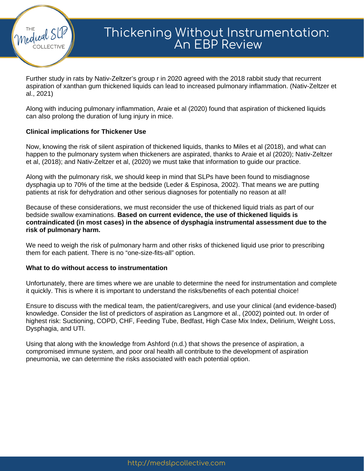

# Thickening Without Instrumentation: An EBP Review

Further study in rats by Nativ-Zeltzer's group r in 2020 agreed with the 2018 rabbit study that recurrent aspiration of xanthan gum thickened liquids can lead to increased pulmonary inflammation. (Nativ-Zeltzer et al., 2021)

Along with inducing pulmonary inflammation, Araie et al (2020) found that aspiration of thickened liquids can also prolong the duration of lung injury in mice.

#### **Clinical implications for Thickener Use**

Now, knowing the risk of silent aspiration of thickened liquids, thanks to Miles et al (2018), and what can happen to the pulmonary system when thickeners are aspirated, thanks to Araie et al (2020); Nativ-Zeltzer et al, (2018); and Nativ-Zeltzer et al, (2020) we must take that information to guide our practice.

Along with the pulmonary risk, we should keep in mind that SLPs have been found to misdiagnose dysphagia up to 70% of the time at the bedside (Leder & Espinosa, 2002). That means we are putting patients at risk for dehydration and other serious diagnoses for potentially no reason at all!

Because of these considerations, we must reconsider the use of thickened liquid trials as part of our bedside swallow examinations. **Based on current evidence, the use of thickened liquids is contraindicated (in most cases) in the absence of dysphagia instrumental assessment due to the risk of pulmonary harm.**

We need to weigh the risk of pulmonary harm and other risks of thickened liquid use prior to prescribing them for each patient. There is no "one-size-fits-all" option.

#### **What to do without access to instrumentation**

Unfortunately, there are times where we are unable to determine the need for instrumentation and complete it quickly. This is where it is important to understand the risks/benefits of each potential choice!

Ensure to discuss with the medical team, the patient/caregivers, and use your clinical (and evidence-based) knowledge. Consider the list of predictors of aspiration as Langmore et al., (2002) pointed out. In order of highest risk: Suctioning, COPD, CHF, Feeding Tube, Bedfast, High Case Mix Index, Delirium, Weight Loss, Dysphagia, and UTI.

Using that along with the knowledge from Ashford (n.d.) that shows the presence of aspiration, a compromised immune system, and poor oral health all contribute to the development of aspiration pneumonia, we can determine the risks associated with each potential option.